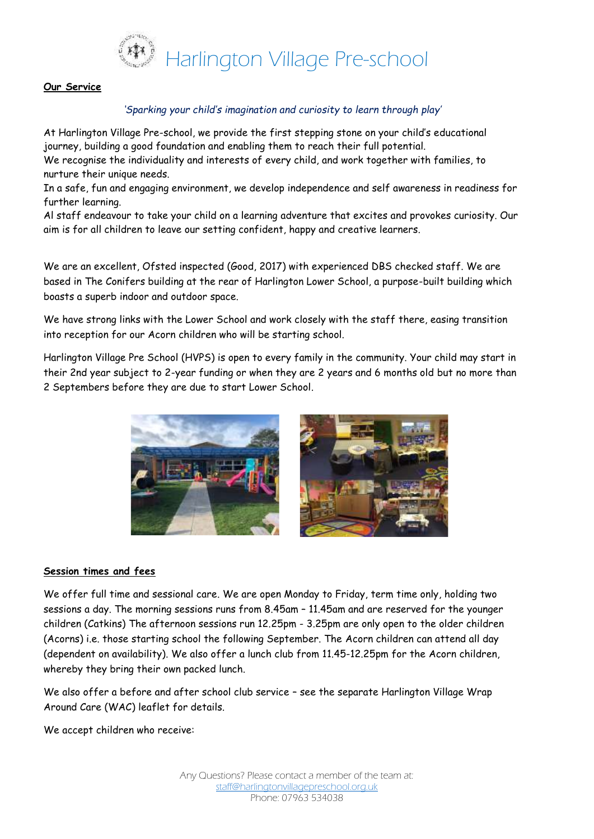

### **Our Service**

## *'Sparking your child's imagination and curiosity to learn through play'*

At Harlington Village Pre-school, we provide the first stepping stone on your child's educational journey, building a good foundation and enabling them to reach their full potential. We recognise the individuality and interests of every child, and work together with families, to nurture their unique needs.

In a safe, fun and engaging environment, we develop independence and self awareness in readiness for further learning.

Al staff endeavour to take your child on a learning adventure that excites and provokes curiosity. Our aim is for all children to leave our setting confident, happy and creative learners.

We are an excellent, Ofsted inspected (Good, 2017) with experienced DBS checked staff. We are based in The Conifers building at the rear of Harlington Lower School, a purpose-built building which boasts a superb indoor and outdoor space.

We have strong links with the Lower School and work closely with the staff there, easing transition into reception for our Acorn children who will be starting school.

Harlington Village Pre School (HVPS) is open to every family in the community. Your child may start in their 2nd year subject to 2-year funding or when they are 2 years and 6 months old but no more than 2 Septembers before they are due to start Lower School.



#### **Session times and fees**

We offer full time and sessional care. We are open Monday to Friday, term time only, holding two sessions a day. The morning sessions runs from 8.45am – 11.45am and are reserved for the younger children (Catkins) The afternoon sessions run 12.25pm - 3.25pm are only open to the older children (Acorns) i.e. those starting school the following September. The Acorn children can attend all day (dependent on availability). We also offer a lunch club from 11.45-12.25pm for the Acorn children, whereby they bring their own packed lunch.

We also offer a before and after school club service – see the separate Harlington Village Wrap Around Care (WAC) leaflet for details.

We accept children who receive: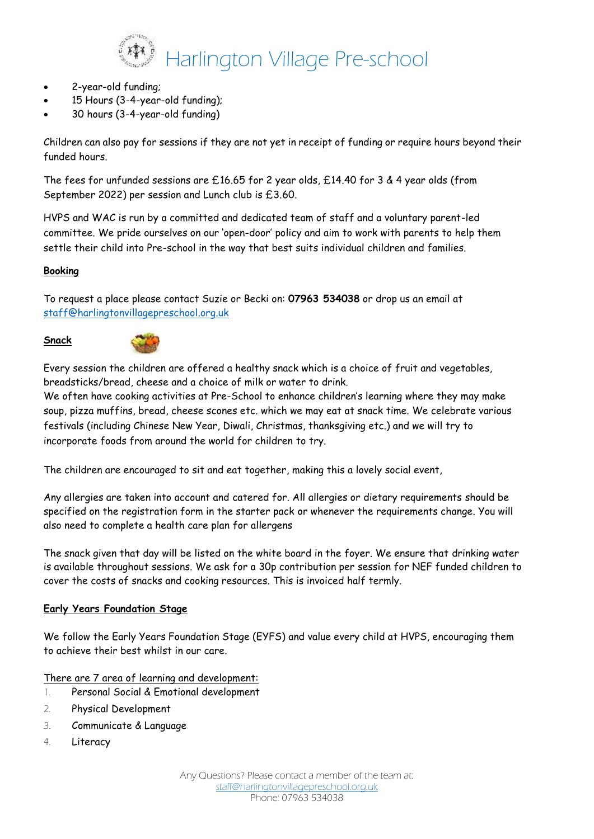

- 2-year-old funding;
- 15 Hours (3-4-year-old funding);
- 30 hours (3-4-year-old funding)

Children can also pay for sessions if they are not yet in receipt of funding or require hours beyond their funded hours.

The fees for unfunded sessions are £16.65 for 2 year olds, £14.40 for 3 & 4 year olds (from September 2022) per session and Lunch club is £3.60.

HVPS and WAC is run by a committed and dedicated team of staff and a voluntary parent-led committee. We pride ourselves on our 'open-door' policy and aim to work with parents to help them settle their child into Pre-school in the way that best suits individual children and families.

## **Booking**

To request a place please contact Suzie or Becki on: **07963 534038** or drop us an email at [staff@harlingtonvillagepreschool.org.uk](mailto:staff@harlingtonvillagepreschool.org.uk)

### **Snack**



Every session the children are offered a healthy snack which is a choice of fruit and vegetables, breadsticks/bread, cheese and a choice of milk or water to drink.

We often have cooking activities at Pre-School to enhance children's learning where they may make soup, pizza muffins, bread, cheese scones etc. which we may eat at snack time. We celebrate various festivals (including Chinese New Year, Diwali, Christmas, thanksgiving etc.) and we will try to incorporate foods from around the world for children to try.

The children are encouraged to sit and eat together, making this a lovely social event,

Any allergies are taken into account and catered for. All allergies or dietary requirements should be specified on the registration form in the starter pack or whenever the requirements change. You will also need to complete a health care plan for allergens

The snack given that day will be listed on the white board in the foyer. We ensure that drinking water is available throughout sessions. We ask for a 30p contribution per session for NEF funded children to cover the costs of snacks and cooking resources. This is invoiced half termly.

## **Early Years Foundation Stage**

We follow the Early Years Foundation Stage (EYFS) and value every child at HVPS, encouraging them to achieve their best whilst in our care.

There are 7 area of learning and development:

- 1. Personal Social & Emotional development
- 2. Physical Development
- 3. Communicate & Language
- 4. Literacy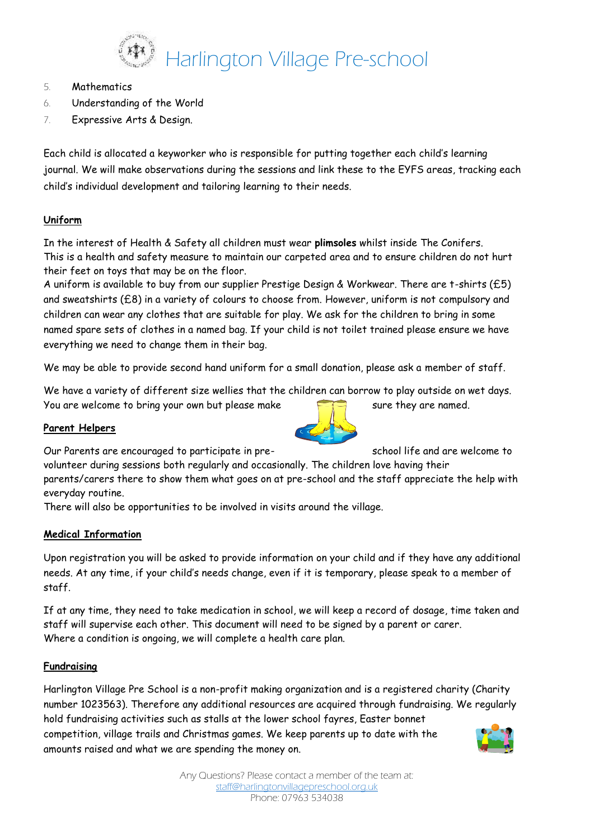

- 5. Mathematics
- 6. Understanding of the World
- 7. Expressive Arts & Design.

Each child is allocated a keyworker who is responsible for putting together each child's learning journal. We will make observations during the sessions and link these to the EYFS areas, tracking each child's individual development and tailoring learning to their needs.

## **Uniform**

In the interest of Health & Safety all children must wear **plimsoles** whilst inside The Conifers. This is a health and safety measure to maintain our carpeted area and to ensure children do not hurt their feet on toys that may be on the floor.

A uniform is available to buy from our supplier Prestige Design & Workwear. There are t-shirts (£5) and sweatshirts (£8) in a variety of colours to choose from. However, uniform is not compulsory and children can wear any clothes that are suitable for play. We ask for the children to bring in some named spare sets of clothes in a named bag. If your child is not toilet trained please ensure we have everything we need to change them in their bag.

We may be able to provide second hand uniform for a small donation, please ask a member of staff.

We have a variety of different size wellies that the children can borrow to play outside on wet days. You are welcome to bring your own but please make sure they are named.

## **Parent Helpers**

Our Parents are encouraged to participate in pre-<br>School life and are welcome to

volunteer during sessions both regularly and occasionally. The children love having their parents/carers there to show them what goes on at pre-school and the staff appreciate the help with everyday routine.

There will also be opportunities to be involved in visits around the village.

## **Medical Information**

Upon registration you will be asked to provide information on your child and if they have any additional needs. At any time, if your child's needs change, even if it is temporary, please speak to a member of staff.

If at any time, they need to take medication in school, we will keep a record of dosage, time taken and staff will supervise each other. This document will need to be signed by a parent or carer. Where a condition is ongoing, we will complete a health care plan.

## **Fundraising**

Harlington Village Pre School is a non-profit making organization and is a registered charity (Charity number 1023563). Therefore any additional resources are acquired through fundraising. We regularly hold fundraising activities such as stalls at the lower school fayres, Easter bonnet competition, village trails and Christmas games. We keep parents up to date with the amounts raised and what we are spending the money on.